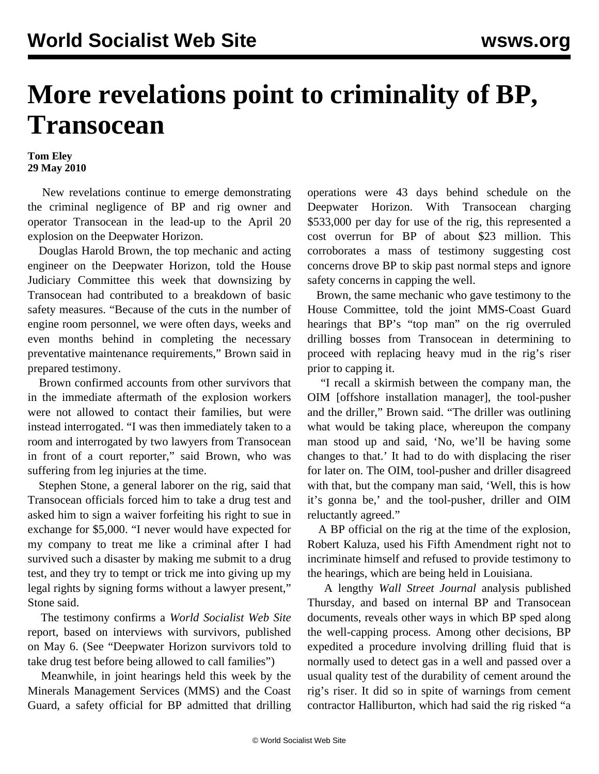## **More revelations point to criminality of BP, Transocean**

## **Tom Eley 29 May 2010**

 New revelations continue to emerge demonstrating the criminal negligence of BP and rig owner and operator Transocean in the lead-up to the April 20 explosion on the Deepwater Horizon.

 Douglas Harold Brown, the top mechanic and acting engineer on the Deepwater Horizon, told the House Judiciary Committee this week that downsizing by Transocean had contributed to a breakdown of basic safety measures. "Because of the cuts in the number of engine room personnel, we were often days, weeks and even months behind in completing the necessary preventative maintenance requirements," Brown said in prepared testimony.

 Brown confirmed accounts from other survivors that in the immediate aftermath of the explosion workers were not allowed to contact their families, but were instead interrogated. "I was then immediately taken to a room and interrogated by two lawyers from Transocean in front of a court reporter," said Brown, who was suffering from leg injuries at the time.

 Stephen Stone, a general laborer on the rig, said that Transocean officials forced him to take a drug test and asked him to sign a waiver forfeiting his right to sue in exchange for \$5,000. "I never would have expected for my company to treat me like a criminal after I had survived such a disaster by making me submit to a drug test, and they try to tempt or trick me into giving up my legal rights by signing forms without a lawyer present," Stone said.

 The testimony confirms a *World Socialist Web Site* report, based on interviews with survivors, published on May 6. (See ["Deepwater Horizon survivors told to](/en/articles/2010/may2010/deep-m06.shtml) [take drug test before being allowed to call families"\)](/en/articles/2010/may2010/deep-m06.shtml)

 Meanwhile, in joint hearings held this week by the Minerals Management Services (MMS) and the Coast Guard, a safety official for BP admitted that drilling

operations were 43 days behind schedule on the Deepwater Horizon. With Transocean charging \$533,000 per day for use of the rig, this represented a cost overrun for BP of about \$23 million. This corroborates a mass of testimony suggesting cost concerns drove BP to skip past normal steps and ignore safety concerns in capping the well.

 Brown, the same mechanic who gave testimony to the House Committee, told the joint MMS-Coast Guard hearings that BP's "top man" on the rig overruled drilling bosses from Transocean in determining to proceed with replacing heavy mud in the rig's riser prior to capping it.

 "I recall a skirmish between the company man, the OIM [offshore installation manager], the tool-pusher and the driller," Brown said. "The driller was outlining what would be taking place, whereupon the company man stood up and said, 'No, we'll be having some changes to that.' It had to do with displacing the riser for later on. The OIM, tool-pusher and driller disagreed with that, but the company man said, 'Well, this is how it's gonna be,' and the tool-pusher, driller and OIM reluctantly agreed."

 A BP official on the rig at the time of the explosion, Robert Kaluza, used his Fifth Amendment right not to incriminate himself and refused to provide testimony to the hearings, which are being held in Louisiana.

 A lengthy *Wall Street Journal* analysis published Thursday, and based on internal BP and Transocean documents, reveals other ways in which BP sped along the well-capping process. Among other decisions, BP expedited a procedure involving drilling fluid that is normally used to detect gas in a well and passed over a usual quality test of the durability of cement around the rig's riser. It did so in spite of warnings from cement contractor Halliburton, which had said the rig risked "a